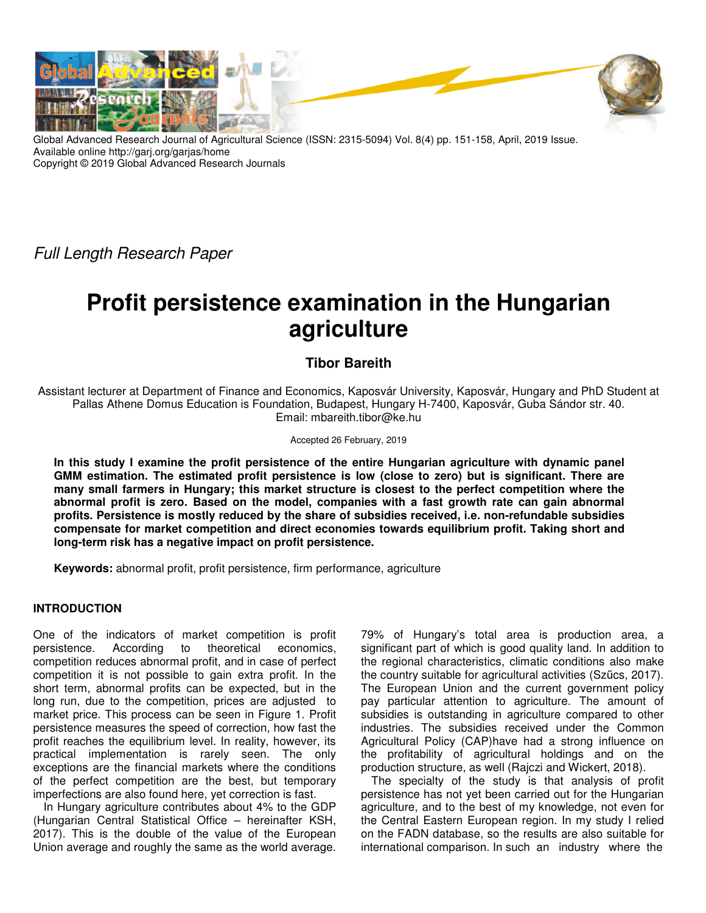

Global Advanced Research Journal of Agricultural Science (ISSN: 2315-5094) Vol. 8(4) pp. 151-158, April, 2019 Issue. Available online http://garj.org/garjas/home Copyright © 2019 Global Advanced Research Journals

Full Length Research Paper

# **Profit persistence examination in the Hungarian agriculture**

# **Tibor Bareith**

Assistant lecturer at Department of Finance and Economics, Kaposvár University, Kaposvár, Hungary and PhD Student at Pallas Athene Domus Education is Foundation, Budapest, Hungary H-7400, Kaposvár, Guba Sándor str. 40. Email: mbareith.tibor@ke.hu

#### Accepted 26 February, 2019

**In this study I examine the profit persistence of the entire Hungarian agriculture with dynamic panel GMM estimation. The estimated profit persistence is low (close to zero) but is significant. There are many small farmers in Hungary; this market structure is closest to the perfect competition where the abnormal profit is zero. Based on the model, companies with a fast growth rate can gain abnormal profits. Persistence is mostly reduced by the share of subsidies received, i.e. non-refundable subsidies compensate for market competition and direct economies towards equilibrium profit. Taking short and long-term risk has a negative impact on profit persistence.** 

**Keywords:** abnormal profit, profit persistence, firm performance, agriculture

## **INTRODUCTION**

One of the indicators of market competition is profit persistence. According to theoretical economics, competition reduces abnormal profit, and in case of perfect competition it is not possible to gain extra profit. In the short term, abnormal profits can be expected, but in the long run, due to the competition, prices are adjusted to market price. This process can be seen in Figure 1. Profit persistence measures the speed of correction, how fast the profit reaches the equilibrium level. In reality, however, its practical implementation is rarely seen. The only exceptions are the financial markets where the conditions of the perfect competition are the best, but temporary imperfections are also found here, yet correction is fast.

In Hungary agriculture contributes about 4% to the GDP (Hungarian Central Statistical Office – hereinafter KSH, 2017). This is the double of the value of the European Union average and roughly the same as the world average.

79% of Hungary's total area is production area, a significant part of which is good quality land. In addition to the regional characteristics, climatic conditions also make the country suitable for agricultural activities (Szűcs, 2017). The European Union and the current government policy pay particular attention to agriculture. The amount of subsidies is outstanding in agriculture compared to other industries. The subsidies received under the Common Agricultural Policy (CAP)have had a strong influence on the profitability of agricultural holdings and on the production structure, as well (Rajczi and Wickert, 2018).

The specialty of the study is that analysis of profit persistence has not yet been carried out for the Hungarian agriculture, and to the best of my knowledge, not even for the Central Eastern European region. In my study I relied on the FADN database, so the results are also suitable for international comparison. In such an industry where the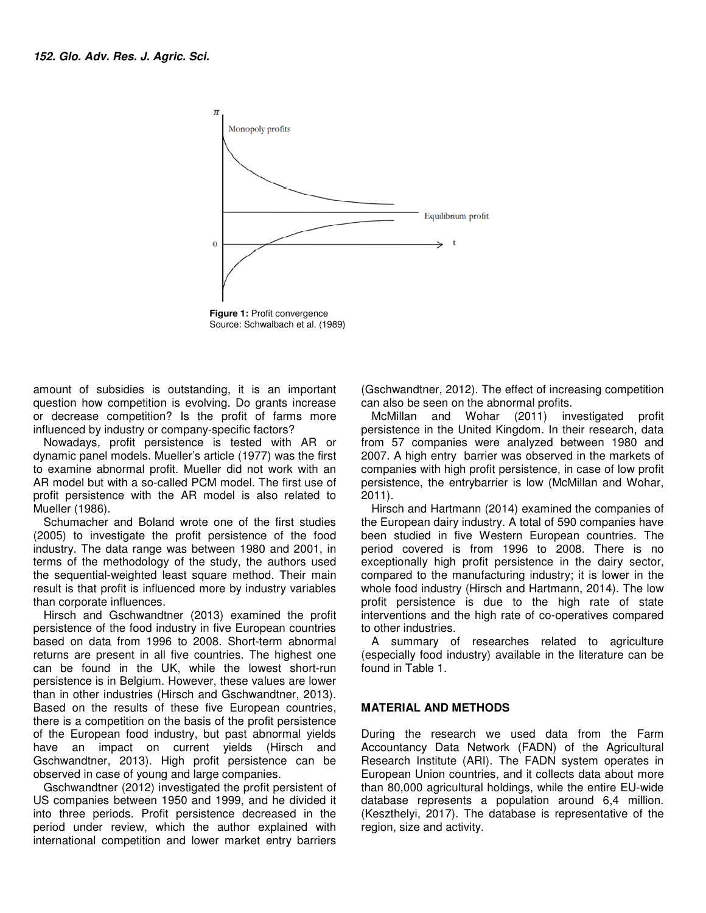

**Figure 1: Profit convergence** Source: Schwalbach et al. (1989)

amount of subsidies is outstanding, it is an important amount of subsidies is outstanding, it is an important<br>question how competition is evolving. Do grants increase or decrease competition? Is the profit of farms more influenced by industry or company-specific factors? or decrease competition? Is the profit of farms more<br>influenced by industry or company-specific factors?<br>Nowadays, profit persistence is tested with AR or

dynamic panel models. Mueller's article (1977) was the first to examine abnormal profit. Mueller did not work with an AR model but with a so-called PCM model. The first use of profit persistence with the AR model is also related to Mueller (1986).

Schumacher and Boland wrote one of the first studies (2005) to investigate the profit persistence of the food industry. The data range was between 1980 and 2001, in terms of the methodology of the study, the authors used the sequential-weighted least square method. Their main result is that profit is influenced more by industry variables than corporate influences. oanel models. Mueller's article (1977) was the first<br>ne abnormal profit. Mueller did not work with an<br>I but with a so-called PCM model. The first use of<br>sistence with the AR model is also related to<br>1986).<br>acher and Boland

Hirsch and Gschwandtner (2013) examined the profit persistence of the food industry in five European countries based on data from 1996 to 2008. Short-term returns are present in all five countries. The highest one returns are present in all five countries. The highest one<br>can be found in the UK, while the lowest short-run persistence is in Belgium. However, these values are lower than in other industries (Hirsch and Gschwandtner, 2013). Based on the results of these five European countries, there is a competition on the basis of the profit persistence of the European food industry, but past abnormal yields have an impact on current yields (Hirsch and Gschwandtner, 2013). High profit persistence can be be observed in case of young and large companies. sistence is in Belgium. However, these values are lower<br>i in other industries (Hirsch and Gschwandtner, 2013).<br>ed on the results of these five European countries,<br>e is a competition on the basis of the profit persistence<br>h ides is outstanding, it is an important (Gschwandther, 2012). The effect of important in the Unit survey the profit of arms more more more more in the Unit of Kingdom. The first ore only specific factors?<br>
Survey or compan

Gschwandtner (2012) investigated the profit persistent of US companies between 1950 and 1999, and he divided it into three periods. Profit persistence decreased in the period under review, which the author explained with international competition and lower market entry barriers

can also be seen on the abnormal profits. (Gschwandtner, 2012). The effect of increasing competition

McMillan and Wohar (2011) investigated profit persistence in the United Kingdom. In their research, data from 57 companies were analyzed between 1980 and 2007. A high entry barrier was observed in the markets of companies with high profit persistence, in case of low profit persistence, the entrybarrier is low (McMillan and Wohar, 2011). seen on the abnormal profits.<br>
and Wohar (2011) investigated profit<br>
in the United Kingdom. In their research, data<br>
mpanies were analyzed between 1980 and<br>
n entry barrier was observed in the markets of

Hirsch and Hartmann (2014) examined the companies of the European dairy industry. A total of 590 companies have been studied in five Western European countries. The period covered is from 1996 to 2008. There is no exceptionally high profit persistence in the dairy sector, compared to the manufacturing industry; it is lower in the whole food industry (Hirsch and Hartmann, 2014). The low profit persistence is due to the high rate of state profit persistence is due to the high rate of state<br>interventions and the high rate of co-operatives compared to other industries. the entrybarrier is low (McMillan and Wohar,<br>Hartmann (2014) examined the companies of<br>dairy industry. A total of 590 companies have<br>in five Western European countries. The<br>ed is from 1996 to 2008. There is no<br>high profit

A summary of researches related to agriculture (especially food industry) available in the literature can be found in Table 1.

## **MATERIAL AND METHODS**

During the research we used data from the Farm Accountancy Data Network (FADN) of the Agricultural Research Institute (ARI). The FADN system operates in European Union countries, and it collects data about more than 80,000 agricultural holdings, while the entire EU-wide database represents a population around 6,4 million. (Keszthelyi, 2017). The database is representative of the region, size and activity. related to agriculture<br>food industry) available in the literature can be<br>ble 1.<br>**AND METHODS**<br>research we used data from the Farm<br>y Data Network (FADN) of the Agricultural<br>nstitute (ARI). The FADN system operates in<br>Jnion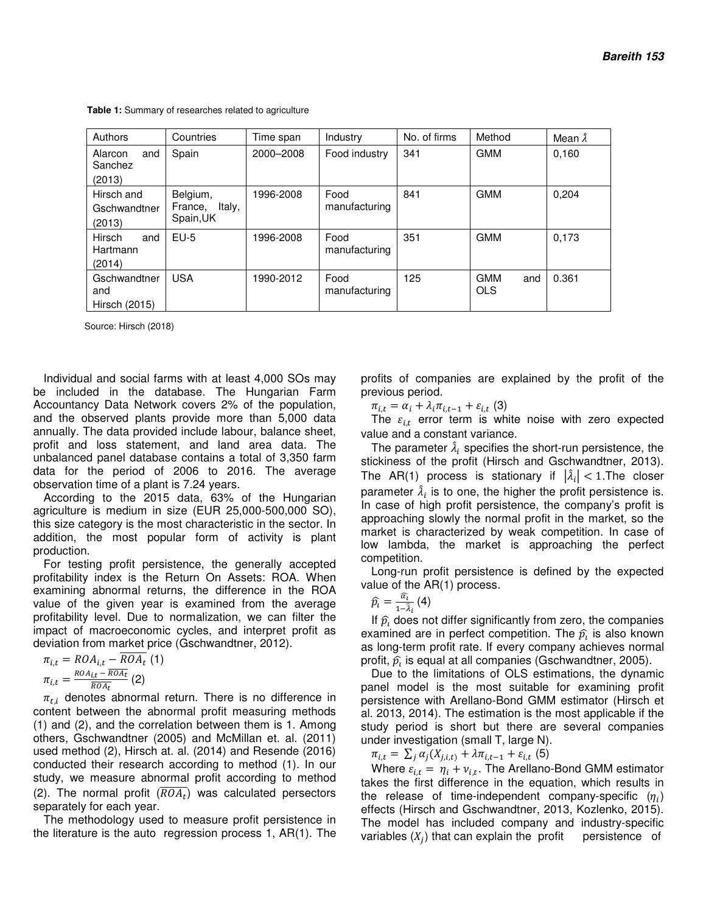**Table 1:** Summary of researches related to agriculture

| Authors                              | Countries                                  | Time span | Industry              | No. of firms | Method                          | Mean $\hat{\lambda}$ |
|--------------------------------------|--------------------------------------------|-----------|-----------------------|--------------|---------------------------------|----------------------|
| Alarcon<br>and<br>Sanchez<br>(2013)  | Spain                                      | 2000-2008 | Food industry         | 341          | <b>GMM</b>                      | 0.160                |
| Hirsch and<br>Gschwandtner<br>(2013) | Belgium,<br>Italy,<br>France,<br>Spain, UK | 1996-2008 | Food<br>manufacturing | 841          | <b>GMM</b>                      | 0,204                |
| Hirsch<br>and<br>Hartmann<br>(2014)  | $EU-5$                                     | 1996-2008 | Food<br>manufacturing | 351          | <b>GMM</b>                      | 0,173                |
| Gschwandtner<br>and<br>Hirsch (2015) | <b>USA</b>                                 | 1990-2012 | Food<br>manufacturing | 125          | <b>GMM</b><br>and<br><b>OLS</b> | 0.361                |

Source: Hirsch (2018)

Individual and social farms with at least 4,000 SOs may be included in the database. The Hungarian Farm Accountancy Data Network covers 2% of the population, and the observed plants provide more than 5,000 data annually. The data provided include labour, balance sheet, profit and loss statement, and land area data. The unbalanced panel database contains a total of 3,350 farm data for the period of 2006 to 2016. The average observation time of a plant is 7.24 years.

According to the 2015 data, 63% of the Hungarian agriculture is medium in size (EUR 25,000-500,000 SO), this size category is the most characteristic in the sector. In addition, the most popular form of activity is plant production.

For testing profit persistence, the generally accepted profitability index is the Return On Assets: ROA. When examining abnormal returns, the difference in the ROA value of the given year is examined from the average profitability level. Due to normalization, we can filter the impact of macroeconomic cycles, and interpret profit as deviation from market price (Gschwandtner, 2012).

$$
\pi_{i,t} = ROA_{i,t} - \overline{ROA_t} \text{ (1)}
$$

$$
\pi_{i,t} = \frac{ROA_{i,t} - \overline{ROA_t}}{\overline{ROA_t}} \text{ (2)}
$$

 $\pi_{t,i}$  denotes abnormal return. There is no difference in content between the abnormal profit measuring methods (1) and (2), and the correlation between them is 1. Among others, Gschwandtner (2005) and McMillan et. al. (2011) used method (2), Hirsch at. al. (2014) and Resende (2016) conducted their research according to method (1). In our study, we measure abnormal profit according to method (2). The normal profit  $(ROA_t)$  was calculated persectors separately for each year.

The methodology used to measure profit persistence in the literature is the auto regression process 1, AR(1). The

profits of companies are explained by the profit of the previous period.

 $\pi_{i,t} = \alpha_i + \lambda_i \pi_{i,t-1} + \varepsilon_{i,t}$  (3)

The  $\varepsilon_{i,t}$  error term is white noise with zero expected value and a constant variance.

The parameter  $\hat{\lambda}_i$  specifies the short-run persistence, the stickiness of the profit (Hirsch and Gschwandtner, 2013). The AR(1) process is stationary if  $|\hat{\lambda}_i|$  < 1. The closer parameter  $\hat{\lambda}_i$  is to one, the higher the profit persistence is. In case of high profit persistence, the company's profit is approaching slowly the normal profit in the market, so the market is characterized by weak competition. In case of low lambda, the market is approaching the perfect competition.

Long-run profit persistence is defined by the expected value of the AR(1) process.

$$
\widehat{p}_i = \frac{\widehat{\alpha_i}}{1 - \widehat{\lambda}_i} \left( 4 \right)
$$

If  $\widehat{p_{i}}$  does not differ significantly from zero, the companies examined are in perfect competition. The  $\widehat{p_{\iota}}$  is also known as long-term profit rate. If every company achieves normal profit,  $\widehat{p_{\iota}}$  is equal at all companies (Gschwandtner, 2005).

Due to the limitations of OLS estimations, the dynamic panel model is the most suitable for examining profit persistence with Arellano-Bond GMM estimator (Hirsch et al. 2013, 2014). The estimation is the most applicable if the study period is short but there are several companies under investigation (small T, large N).

 $\pi_{i,t} = \sum_{j} \alpha_j (X_{j,i,t} + \lambda \pi_{i,t-1} + \varepsilon_{i,t}$  (5)

Where  $\varepsilon_{i,t} = \eta_i + v_{i,t}$ . The Arellano-Bond GMM estimator takes the first difference in the equation, which results in the release of time-independent company-specific  $(\eta_i)$ effects (Hirsch and Gschwandtner, 2013, Kozlenko, 2015). The model has included company and industry-specific variables  $(X_j)$  that can explain the profit persistence of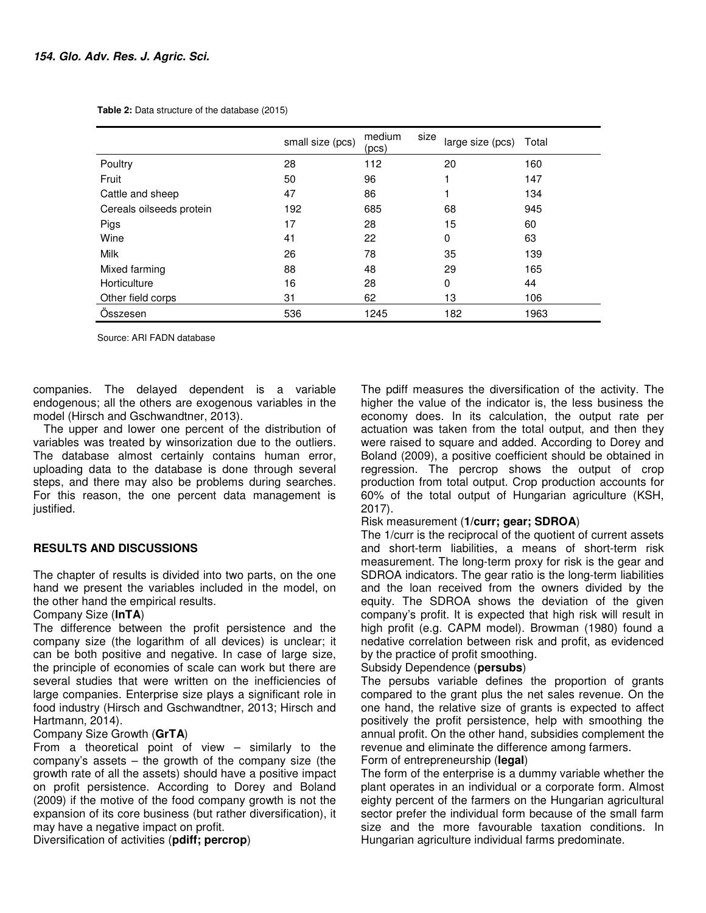|                          | small size (pcs) | medium<br>size<br>(pcs) | large size (pcs) | Total |
|--------------------------|------------------|-------------------------|------------------|-------|
| Poultry                  | 28               | 112                     | 20               | 160   |
| Fruit                    | 50               | 96                      |                  | 147   |
| Cattle and sheep         | 47               | 86                      |                  | 134   |
| Cereals oilseeds protein | 192              | 685                     | 68               | 945   |
| Pigs                     | 17               | 28                      | 15               | 60    |
| Wine                     | 41               | 22                      | 0                | 63    |
| <b>Milk</b>              | 26               | 78                      | 35               | 139   |
| Mixed farming            | 88               | 48                      | 29               | 165   |
| Horticulture             | 16               | 28                      | 0                | 44    |
| Other field corps        | 31               | 62                      | 13               | 106   |
| Osszesen                 | 536              | 1245                    | 182              | 1963  |

 **Table 2:** Data structure of the database (2015)

Source: ARI FADN database

companies. The delayed dependent is a variable endogenous; all the others are exogenous variables in the model (Hirsch and Gschwandtner, 2013).

The upper and lower one percent of the distribution of variables was treated by winsorization due to the outliers. The database almost certainly contains human error, uploading data to the database is done through several steps, and there may also be problems during searches. For this reason, the one percent data management is justified.

## **RESULTS AND DISCUSSIONS**

The chapter of results is divided into two parts, on the one hand we present the variables included in the model, on the other hand the empirical results.

## Company Size (**lnTA**)

The difference between the profit persistence and the company size (the logarithm of all devices) is unclear; it can be both positive and negative. In case of large size, the principle of economies of scale can work but there are several studies that were written on the inefficiencies of large companies. Enterprise size plays a significant role in food industry (Hirsch and Gschwandtner, 2013; Hirsch and Hartmann, 2014).

## Company Size Growth (**GrTA**)

From a theoretical point of view – similarly to the company's assets – the growth of the company size (the growth rate of all the assets) should have a positive impact on profit persistence. According to Dorey and Boland (2009) if the motive of the food company growth is not the expansion of its core business (but rather diversification), it may have a negative impact on profit.

Diversification of activities (**pdiff; percrop**)

The pdiff measures the diversification of the activity. The higher the value of the indicator is, the less business the economy does. In its calculation, the output rate per actuation was taken from the total output, and then they were raised to square and added. According to Dorey and Boland (2009), a positive coefficient should be obtained in regression. The percrop shows the output of crop production from total output. Crop production accounts for 60% of the total output of Hungarian agriculture (KSH, 2017).

## Risk measurement (**1/curr; gear; SDROA**)

The 1/curr is the reciprocal of the quotient of current assets and short-term liabilities, a means of short-term risk measurement. The long-term proxy for risk is the gear and SDROA indicators. The gear ratio is the long-term liabilities and the loan received from the owners divided by the equity. The SDROA shows the deviation of the given company's profit. It is expected that high risk will result in high profit (e.g. CAPM model). Browman (1980) found a nedative correlation between risk and profit, as evidenced by the practice of profit smoothing.

## Subsidy Dependence (**persubs**)

The persubs variable defines the proportion of grants compared to the grant plus the net sales revenue. On the one hand, the relative size of grants is expected to affect positively the profit persistence, help with smoothing the annual profit. On the other hand, subsidies complement the revenue and eliminate the difference among farmers.

## Form of entrepreneurship (**legal**)

The form of the enterprise is a dummy variable whether the plant operates in an individual or a corporate form. Almost eighty percent of the farmers on the Hungarian agricultural sector prefer the individual form because of the small farm size and the more favourable taxation conditions. In Hungarian agriculture individual farms predominate.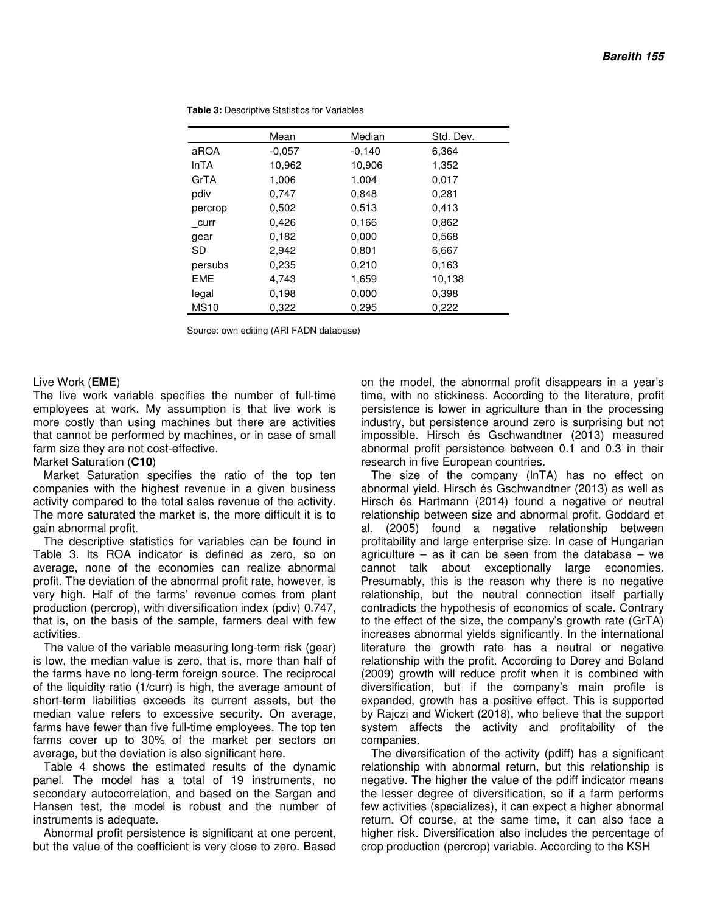|             | Mean     | Median   | Std. Dev. |
|-------------|----------|----------|-----------|
| aROA        | $-0.057$ | $-0.140$ | 6,364     |
| <b>InTA</b> | 10,962   | 10,906   | 1,352     |
| GrTA        | 1,006    | 1.004    | 0,017     |
| pdiv        | 0,747    | 0,848    | 0,281     |
| percrop     | 0,502    | 0,513    | 0,413     |
| curr        | 0,426    | 0,166    | 0,862     |
| gear        | 0.182    | 0,000    | 0,568     |
| SD          | 2,942    | 0,801    | 6,667     |
| persubs     | 0,235    | 0,210    | 0,163     |
| <b>EME</b>  | 4.743    | 1,659    | 10,138    |
| legal       | 0,198    | 0,000    | 0,398     |
| <b>MS10</b> | 0,322    | 0,295    | 0,222     |

 **Table 3:** Descriptive Statistics for Variables

Source: own editing (ARI FADN database)

#### Live Work (**EME**)

The live work variable specifies the number of full-time employees at work. My assumption is that live work is more costly than using machines but there are activities that cannot be performed by machines, or in case of small farm size they are not cost-effective.

#### Market Saturation (**C10**)

Market Saturation specifies the ratio of the top ten companies with the highest revenue in a given business activity compared to the total sales revenue of the activity. The more saturated the market is, the more difficult it is to gain abnormal profit.

The descriptive statistics for variables can be found in Table 3. Its ROA indicator is defined as zero, so on average, none of the economies can realize abnormal profit. The deviation of the abnormal profit rate, however, is very high. Half of the farms' revenue comes from plant production (percrop), with diversification index (pdiv) 0.747, that is, on the basis of the sample, farmers deal with few activities.

The value of the variable measuring long-term risk (gear) is low, the median value is zero, that is, more than half of the farms have no long-term foreign source. The reciprocal of the liquidity ratio (1/curr) is high, the average amount of short-term liabilities exceeds its current assets, but the median value refers to excessive security. On average, farms have fewer than five full-time employees. The top ten farms cover up to 30% of the market per sectors on average, but the deviation is also significant here.

Table 4 shows the estimated results of the dynamic panel. The model has a total of 19 instruments, no secondary autocorrelation, and based on the Sargan and Hansen test, the model is robust and the number of instruments is adequate.

Abnormal profit persistence is significant at one percent, but the value of the coefficient is very close to zero. Based on the model, the abnormal profit disappears in a year's time, with no stickiness. According to the literature, profit persistence is lower in agriculture than in the processing industry, but persistence around zero is surprising but not impossible. Hirsch és Gschwandtner (2013) measured abnormal profit persistence between 0.1 and 0.3 in their research in five European countries.

The size of the company (lnTA) has no effect on abnormal yield. Hirsch és Gschwandtner (2013) as well as Hirsch és Hartmann (2014) found a negative or neutral relationship between size and abnormal profit. Goddard et al. (2005) found a negative relationship between profitability and large enterprise size. In case of Hungarian agriculture – as it can be seen from the database – we cannot talk about exceptionally large economies. Presumably, this is the reason why there is no negative relationship, but the neutral connection itself partially contradicts the hypothesis of economics of scale. Contrary to the effect of the size, the company's growth rate (GrTA) increases abnormal yields significantly. In the international literature the growth rate has a neutral or negative relationship with the profit. According to Dorey and Boland (2009) growth will reduce profit when it is combined with diversification, but if the company's main profile is expanded, growth has a positive effect. This is supported by Rajczi and Wickert (2018), who believe that the support system affects the activity and profitability of the companies.

The diversification of the activity (pdiff) has a significant relationship with abnormal return, but this relationship is negative. The higher the value of the pdiff indicator means the lesser degree of diversification, so if a farm performs few activities (specializes), it can expect a higher abnormal return. Of course, at the same time, it can also face a higher risk. Diversification also includes the percentage of crop production (percrop) variable. According to the KSH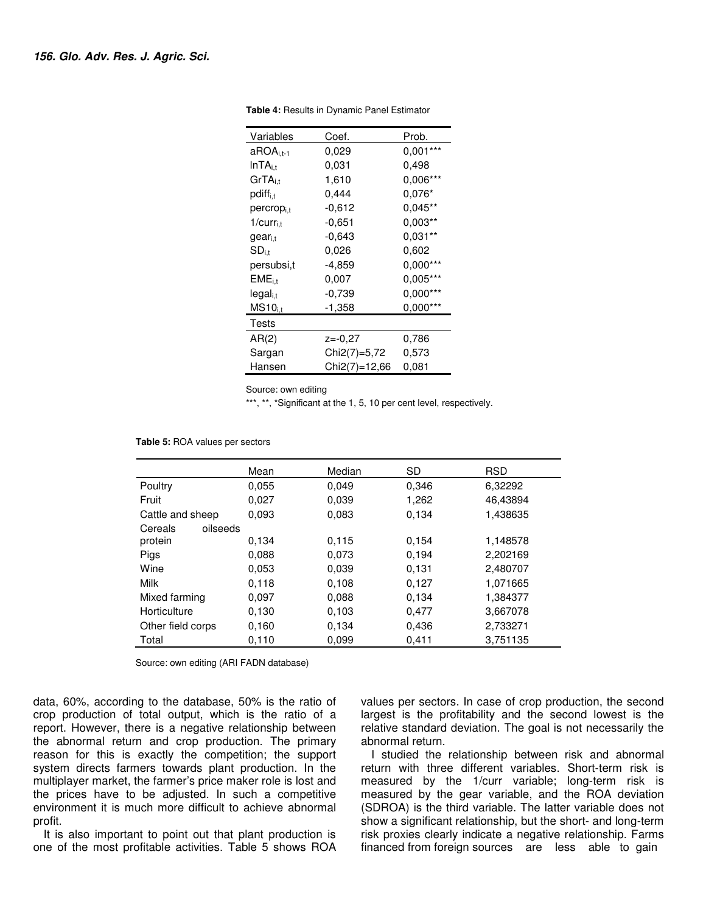| Variables           | Coef.         | Prob.      |  |
|---------------------|---------------|------------|--|
| $aROAi,t-1$         | 0,029         | $0,001***$ |  |
| InTA <sub>i.t</sub> | 0,031         | 0,498      |  |
| $GrTA_{i.t}$        | 1,610         | $0,006***$ |  |
| $pdf_{i,t}$         | 0,444         | $0,076*$   |  |
| $percrop_{i,t}$     | -0.612        | $0.045**$  |  |
| $1/curr_{i,t}$      | -0.651        | $0.003**$  |  |
| gear <sub>i.t</sub> | -0.643        | $0,031**$  |  |
| $SD_{i,t}$          | 0.026         | 0.602      |  |
| persubsi,t          | -4,859        | $0,000***$ |  |
| $EME_{i.t}$         | 0,007         | $0,005***$ |  |
| $legal_{i.t}$       | -0,739        | $0,000***$ |  |
| $MS10_{i,t}$        | -1,358        | $0,000***$ |  |
| Tests               |               |            |  |
| AR(2)               | $z = -0.27$   | 0,786      |  |
| Sargan              | Chi2(7)=5,72  | 0,573      |  |
| Hansen              | Chi2(7)=12,66 | 0.081      |  |

 **Table 4:** Results in Dynamic Panel Estimator

Source: own editing

\*\*\*, \*\*, \*Significant at the 1, 5, 10 per cent level, respectively.

 **Table 5:** ROA values per sectors

|                     | Mean  | Median | <b>SD</b> | <b>RSD</b> |
|---------------------|-------|--------|-----------|------------|
| Poultry             | 0.055 | 0,049  | 0,346     | 6,32292    |
| Fruit               | 0,027 | 0.039  | 1,262     | 46,43894   |
| Cattle and sheep    | 0.093 | 0.083  | 0.134     | 1,438635   |
| Cereals<br>oilseeds |       |        |           |            |
| protein             | 0.134 | 0.115  | 0.154     | 1,148578   |
| Pigs                | 0.088 | 0.073  | 0.194     | 2,202169   |
| Wine                | 0.053 | 0.039  | 0.131     | 2,480707   |
| <b>Milk</b>         | 0.118 | 0.108  | 0.127     | 1,071665   |
| Mixed farming       | 0.097 | 0.088  | 0.134     | 1,384377   |
| Horticulture        | 0.130 | 0.103  | 0.477     | 3,667078   |
| Other field corps   | 0,160 | 0.134  | 0,436     | 2,733271   |
| Total               | 0,110 | 0.099  | 0,411     | 3,751135   |

Source: own editing (ARI FADN database)

data, 60%, according to the database, 50% is the ratio of crop production of total output, which is the ratio of a report. However, there is a negative relationship between the abnormal return and crop production. The primary reason for this is exactly the competition; the support system directs farmers towards plant production. In the multiplayer market, the farmer's price maker role is lost and the prices have to be adjusted. In such a competitive environment it is much more difficult to achieve abnormal profit.

It is also important to point out that plant production is one of the most profitable activities. Table 5 shows ROA values per sectors. In case of crop production, the second largest is the profitability and the second lowest is the relative standard deviation. The goal is not necessarily the abnormal return.

I studied the relationship between risk and abnormal return with three different variables. Short-term risk is measured by the 1/curr variable; long-term risk is measured by the gear variable, and the ROA deviation (SDROA) is the third variable. The latter variable does not show a significant relationship, but the short- and long-term risk proxies clearly indicate a negative relationship. Farms financed from foreign sources are less able to gain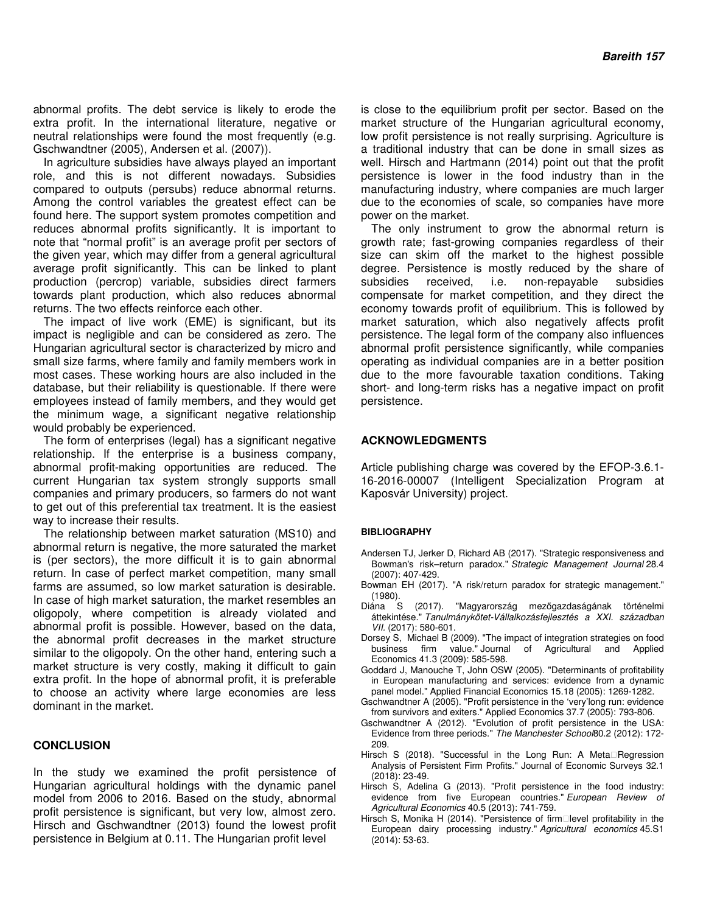abnormal profits. The debt service is likely to erode the extra profit. In the international literature, negative or neutral relationships were found the most frequently (e.g. Gschwandtner (2005), Andersen et al. (2007)).

In agriculture subsidies have always played an important role, and this is not different nowadays. Subsidies compared to outputs (persubs) reduce abnormal returns. Among the control variables the greatest effect can be found here. The support system promotes competition and reduces abnormal profits significantly. It is important to note that "normal profit" is an average profit per sectors of the given year, which may differ from a general agricultural average profit significantly. This can be linked to plant production (percrop) variable, subsidies direct farmers towards plant production, which also reduces abnormal returns. The two effects reinforce each other.

The impact of live work (EME) is significant, but its impact is negligible and can be considered as zero. The Hungarian agricultural sector is characterized by micro and small size farms, where family and family members work in most cases. These working hours are also included in the database, but their reliability is questionable. If there were employees instead of family members, and they would get the minimum wage, a significant negative relationship would probably be experienced.

The form of enterprises (legal) has a significant negative relationship. If the enterprise is a business company, abnormal profit-making opportunities are reduced. The current Hungarian tax system strongly supports small companies and primary producers, so farmers do not want to get out of this preferential tax treatment. It is the easiest way to increase their results.

The relationship between market saturation (MS10) and abnormal return is negative, the more saturated the market is (per sectors), the more difficult it is to gain abnormal return. In case of perfect market competition, many small farms are assumed, so low market saturation is desirable. In case of high market saturation, the market resembles an oligopoly, where competition is already violated and abnormal profit is possible. However, based on the data, the abnormal profit decreases in the market structure similar to the oligopoly. On the other hand, entering such a market structure is very costly, making it difficult to gain extra profit. In the hope of abnormal profit, it is preferable to choose an activity where large economies are less dominant in the market.

## **CONCLUSION**

In the study we examined the profit persistence of Hungarian agricultural holdings with the dynamic panel model from 2006 to 2016. Based on the study, abnormal profit persistence is significant, but very low, almost zero. Hirsch and Gschwandtner (2013) found the lowest profit persistence in Belgium at 0.11. The Hungarian profit level

is close to the equilibrium profit per sector. Based on the market structure of the Hungarian agricultural economy, low profit persistence is not really surprising. Agriculture is a traditional industry that can be done in small sizes as well. Hirsch and Hartmann (2014) point out that the profit persistence is lower in the food industry than in the manufacturing industry, where companies are much larger due to the economies of scale, so companies have more power on the market.

The only instrument to grow the abnormal return is growth rate; fast-growing companies regardless of their size can skim off the market to the highest possible degree. Persistence is mostly reduced by the share of subsidies received, i.e. non-repayable subsidies compensate for market competition, and they direct the economy towards profit of equilibrium. This is followed by market saturation, which also negatively affects profit persistence. The legal form of the company also influences abnormal profit persistence significantly, while companies operating as individual companies are in a better position due to the more favourable taxation conditions. Taking short- and long-term risks has a negative impact on profit persistence.

#### **ACKNOWLEDGMENTS**

Article publishing charge was covered by the EFOP-3.6.1- 16-2016-00007 (Intelligent Specialization Program at Kaposvár University) project.

#### **BIBLIOGRAPHY**

- Andersen TJ, Jerker D, Richard AB (2017). "Strategic responsiveness and Bowman's risk–return paradox." Strategic Management Journal 28.4 (2007): 407-429.
- Bowman EH (2017). "A risk/return paradox for strategic management." (1980).
- Diána S (2017). "Magyarország mezőgazdaságának történelmi áttekintése." Tanulmánykötet-Vállalkozásfejlesztés a XXI. században VII. (2017): 580-601.
- Dorsey S, Michael B (2009). "The impact of integration strategies on food business firm value." Journal of Agricultural and Applied Economics 41.3 (2009): 585-598.
- Goddard J, Manouche T, John OSW (2005). "Determinants of profitability in European manufacturing and services: evidence from a dynamic panel model." Applied Financial Economics 15.18 (2005): 1269-1282.
- Gschwandtner A (2005). "Profit persistence in the 'very'long run: evidence from survivors and exiters." Applied Economics 37.7 (2005): 793-806.
- Gschwandtner A (2012). "Evolution of profit persistence in the USA: Evidence from three periods." The Manchester School80.2 (2012): 172- 209.
- Hirsch S (2018). "Successful in the Long Run: A Meta Regression Analysis of Persistent Firm Profits." Journal of Economic Surveys 32.1 (2018): 23-49.
- Hirsch S, Adelina G (2013). "Profit persistence in the food industry: evidence from five European countries." European Review of Agricultural Economics 40.5 (2013): 741-759.
- Hirsch S, Monika H (2014). "Persistence of firm level profitability in the European dairy processing industry." Agricultural economics 45.S1 (2014): 53-63.